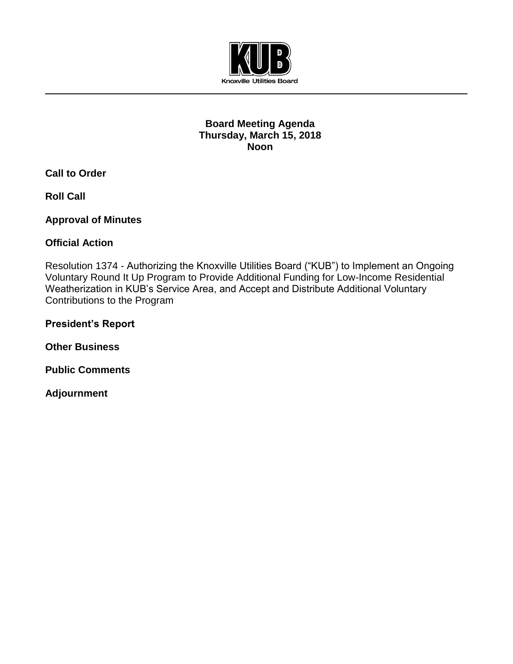

## **Board Meeting Agenda Thursday, March 15, 2018 Noon**

**Call to Order**

**Roll Call**

**Approval of Minutes**

**Official Action** 

Resolution 1374 - Authorizing the Knoxville Utilities Board ("KUB") to Implement an Ongoing Voluntary Round It Up Program to Provide Additional Funding for Low-Income Residential Weatherization in KUB's Service Area, and Accept and Distribute Additional Voluntary Contributions to the Program

**President's Report**

**Other Business**

**Public Comments**

**Adjournment**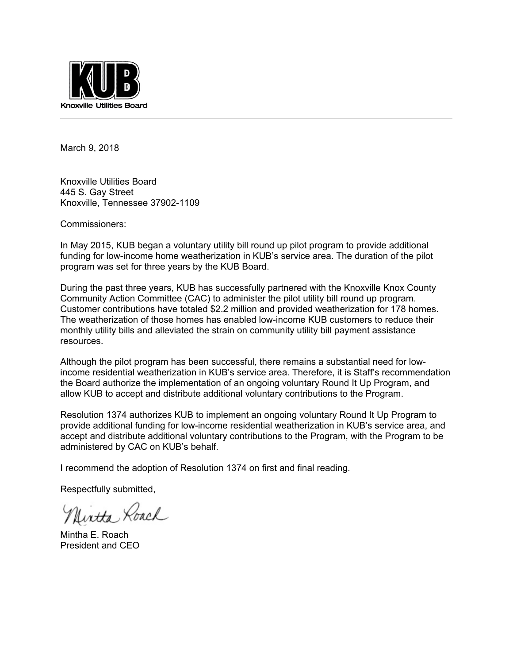

March 9, 2018

Knoxville Utilities Board 445 S. Gay Street Knoxville, Tennessee 37902-1109

Commissioners:

In May 2015, KUB began a voluntary utility bill round up pilot program to provide additional funding for low-income home weatherization in KUB's service area. The duration of the pilot program was set for three years by the KUB Board.

During the past three years, KUB has successfully partnered with the Knoxville Knox County Community Action Committee (CAC) to administer the pilot utility bill round up program. Customer contributions have totaled \$2.2 million and provided weatherization for 178 homes. The weatherization of those homes has enabled low-income KUB customers to reduce their monthly utility bills and alleviated the strain on community utility bill payment assistance resources.

Although the pilot program has been successful, there remains a substantial need for lowincome residential weatherization in KUB's service area. Therefore, it is Staff's recommendation the Board authorize the implementation of an ongoing voluntary Round It Up Program, and allow KUB to accept and distribute additional voluntary contributions to the Program.

Resolution 1374 authorizes KUB to implement an ongoing voluntary Round It Up Program to provide additional funding for low-income residential weatherization in KUB's service area, and accept and distribute additional voluntary contributions to the Program, with the Program to be administered by CAC on KUB's behalf.

I recommend the adoption of Resolution 1374 on first and final reading.

Respectfully submitted,

Uirtta Roach

Mintha E. Roach President and CEO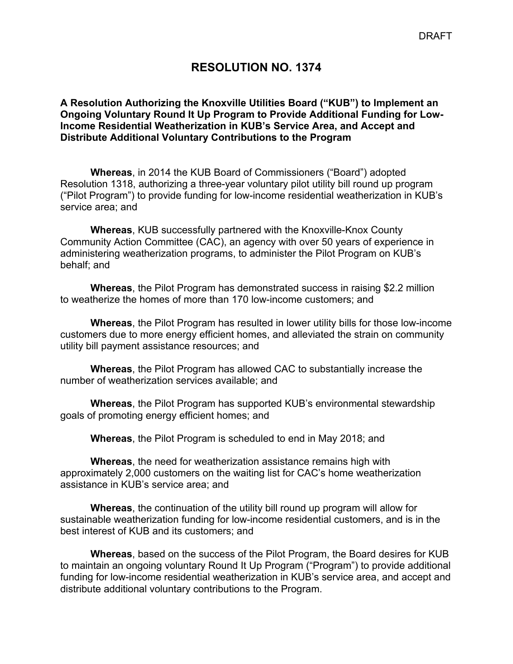# **RESOLUTION NO. 1374**

#### **A Resolution Authorizing the Knoxville Utilities Board ("KUB") to Implement an Ongoing Voluntary Round It Up Program to Provide Additional Funding for Low-Income Residential Weatherization in KUB's Service Area, and Accept and Distribute Additional Voluntary Contributions to the Program**

**Whereas**, in 2014 the KUB Board of Commissioners ("Board") adopted Resolution 1318, authorizing a three-year voluntary pilot utility bill round up program ("Pilot Program") to provide funding for low-income residential weatherization in KUB's service area; and

 **Whereas**, KUB successfully partnered with the Knoxville-Knox County Community Action Committee (CAC), an agency with over 50 years of experience in administering weatherization programs, to administer the Pilot Program on KUB's behalf; and

 **Whereas**, the Pilot Program has demonstrated success in raising \$2.2 million to weatherize the homes of more than 170 low-income customers; and

 **Whereas**, the Pilot Program has resulted in lower utility bills for those low-income customers due to more energy efficient homes, and alleviated the strain on community utility bill payment assistance resources; and

 **Whereas**, the Pilot Program has allowed CAC to substantially increase the number of weatherization services available; and

 **Whereas**, the Pilot Program has supported KUB's environmental stewardship goals of promoting energy efficient homes; and

 **Whereas**, the Pilot Program is scheduled to end in May 2018; and

 **Whereas**, the need for weatherization assistance remains high with approximately 2,000 customers on the waiting list for CAC's home weatherization assistance in KUB's service area; and

 **Whereas**, the continuation of the utility bill round up program will allow for sustainable weatherization funding for low-income residential customers, and is in the best interest of KUB and its customers; and

**Whereas**, based on the success of the Pilot Program, the Board desires for KUB to maintain an ongoing voluntary Round It Up Program ("Program") to provide additional funding for low-income residential weatherization in KUB's service area, and accept and distribute additional voluntary contributions to the Program.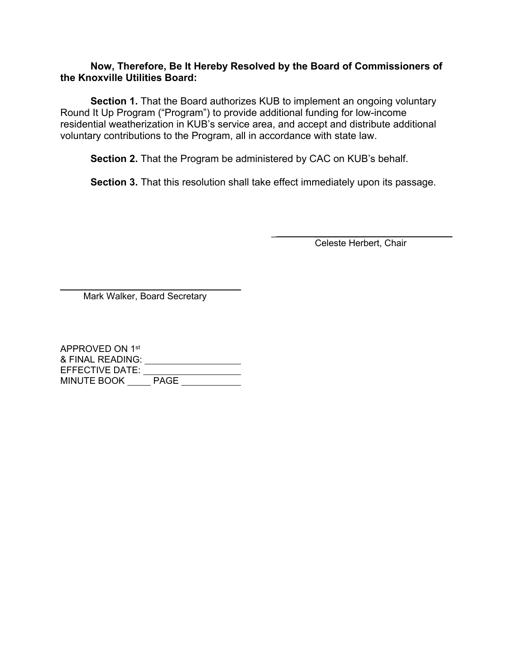#### **Now, Therefore, Be It Hereby Resolved by the Board of Commissioners of the Knoxville Utilities Board:**

**Section 1.** That the Board authorizes KUB to implement an ongoing voluntary Round It Up Program ("Program") to provide additional funding for low-income residential weatherization in KUB's service area, and accept and distribute additional voluntary contributions to the Program, all in accordance with state law.

**Section 2.** That the Program be administered by CAC on KUB's behalf.

**Section 3.** That this resolution shall take effect immediately upon its passage.

Celeste Herbert, Chair

 $\frac{1}{2}$  , and the set of the set of the set of the set of the set of the set of the set of the set of the set of the set of the set of the set of the set of the set of the set of the set of the set of the set of the set

 $\mathcal{L}=\mathcal{L}$  , we have the set of the set of the set of the set of the set of the set of the set of the set of the set of the set of the set of the set of the set of the set of the set of the set of the set of the set o Mark Walker, Board Secretary

APPROVED ON 1st & FINAL READING: EFFECTIVE DATE: MINUTE BOOK \_\_\_\_\_ PAGE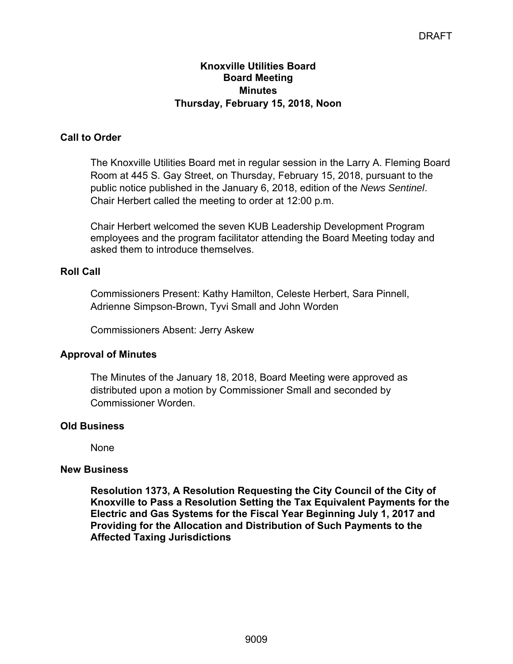### **Knoxville Utilities Board Board Meeting Minutes Thursday, February 15, 2018, Noon**

# **Call to Order**

The Knoxville Utilities Board met in regular session in the Larry A. Fleming Board Room at 445 S. Gay Street, on Thursday, February 15, 2018, pursuant to the public notice published in the January 6, 2018, edition of the *News Sentinel*. Chair Herbert called the meeting to order at 12:00 p.m.

Chair Herbert welcomed the seven KUB Leadership Development Program employees and the program facilitator attending the Board Meeting today and asked them to introduce themselves.

# **Roll Call**

Commissioners Present: Kathy Hamilton, Celeste Herbert, Sara Pinnell, Adrienne Simpson-Brown, Tyvi Small and John Worden

Commissioners Absent: Jerry Askew

# **Approval of Minutes**

The Minutes of the January 18, 2018, Board Meeting were approved as distributed upon a motion by Commissioner Small and seconded by Commissioner Worden.

### **Old Business**

None

### **New Business**

**Resolution 1373, A Resolution Requesting the City Council of the City of Knoxville to Pass a Resolution Setting the Tax Equivalent Payments for the Electric and Gas Systems for the Fiscal Year Beginning July 1, 2017 and Providing for the Allocation and Distribution of Such Payments to the Affected Taxing Jurisdictions**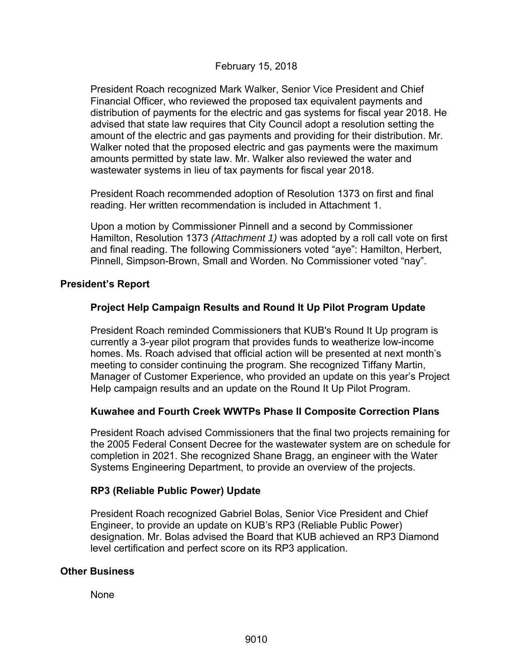### February 15, 2018

President Roach recognized Mark Walker, Senior Vice President and Chief Financial Officer, who reviewed the proposed tax equivalent payments and distribution of payments for the electric and gas systems for fiscal year 2018. He advised that state law requires that City Council adopt a resolution setting the amount of the electric and gas payments and providing for their distribution. Mr. Walker noted that the proposed electric and gas payments were the maximum amounts permitted by state law. Mr. Walker also reviewed the water and wastewater systems in lieu of tax payments for fiscal year 2018.

President Roach recommended adoption of Resolution 1373 on first and final reading. Her written recommendation is included in Attachment 1.

Upon a motion by Commissioner Pinnell and a second by Commissioner Hamilton, Resolution 1373 *(Attachment 1)* was adopted by a roll call vote on first and final reading. The following Commissioners voted "aye": Hamilton, Herbert, Pinnell, Simpson-Brown, Small and Worden. No Commissioner voted "nay".

#### **President's Report**

### **Project Help Campaign Results and Round It Up Pilot Program Update**

President Roach reminded Commissioners that KUB's Round It Up program is currently a 3-year pilot program that provides funds to weatherize low-income homes. Ms. Roach advised that official action will be presented at next month's meeting to consider continuing the program. She recognized Tiffany Martin, Manager of Customer Experience, who provided an update on this year's Project Help campaign results and an update on the Round It Up Pilot Program.

### **Kuwahee and Fourth Creek WWTPs Phase II Composite Correction Plans**

President Roach advised Commissioners that the final two projects remaining for the 2005 Federal Consent Decree for the wastewater system are on schedule for completion in 2021. She recognized Shane Bragg, an engineer with the Water Systems Engineering Department, to provide an overview of the projects.

### **RP3 (Reliable Public Power) Update**

President Roach recognized Gabriel Bolas, Senior Vice President and Chief Engineer, to provide an update on KUB's RP3 (Reliable Public Power) designation. Mr. Bolas advised the Board that KUB achieved an RP3 Diamond level certification and perfect score on its RP3 application.

#### **Other Business**

None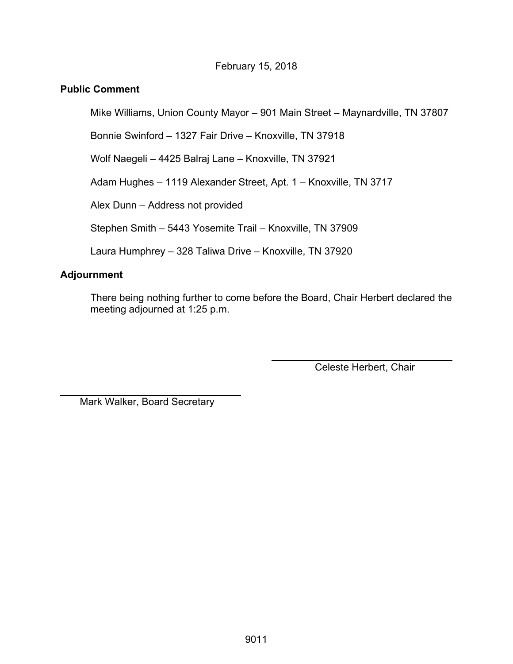# February 15, 2018

## **Public Comment**

Mike Williams, Union County Mayor – 901 Main Street – Maynardville, TN 37807

Bonnie Swinford – 1327 Fair Drive – Knoxville, TN 37918

Wolf Naegeli – 4425 Balraj Lane – Knoxville, TN 37921

Adam Hughes – 1119 Alexander Street, Apt. 1 – Knoxville, TN 3717

Alex Dunn – Address not provided

Stephen Smith – 5443 Yosemite Trail – Knoxville, TN 37909

Laura Humphrey – 328 Taliwa Drive – Knoxville, TN 37920

# **Adjournment**

 $\overline{a}$ 

There being nothing further to come before the Board, Chair Herbert declared the meeting adjourned at 1:25 p.m.

Celeste Herbert, Chair

Mark Walker, Board Secretary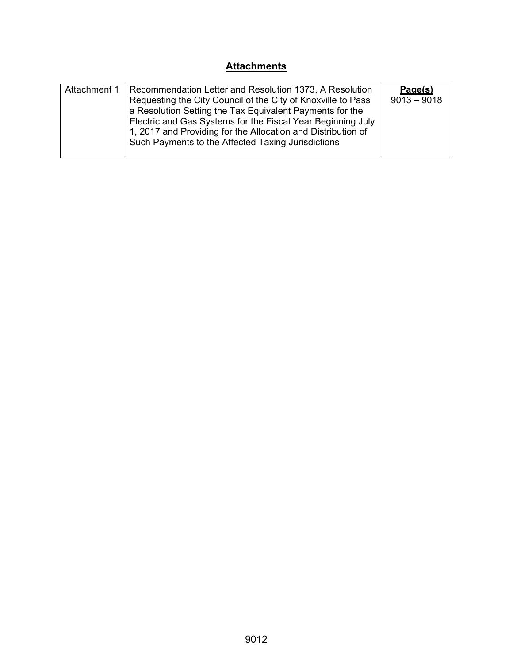# **Attachments**

| Attachment 1 | Recommendation Letter and Resolution 1373, A Resolution<br>Requesting the City Council of the City of Knoxville to Pass<br>a Resolution Setting the Tax Equivalent Payments for the<br>Electric and Gas Systems for the Fiscal Year Beginning July<br>1, 2017 and Providing for the Allocation and Distribution of<br>Such Payments to the Affected Taxing Jurisdictions | Page(s)<br>$9013 - 9018$ |
|--------------|--------------------------------------------------------------------------------------------------------------------------------------------------------------------------------------------------------------------------------------------------------------------------------------------------------------------------------------------------------------------------|--------------------------|
|--------------|--------------------------------------------------------------------------------------------------------------------------------------------------------------------------------------------------------------------------------------------------------------------------------------------------------------------------------------------------------------------------|--------------------------|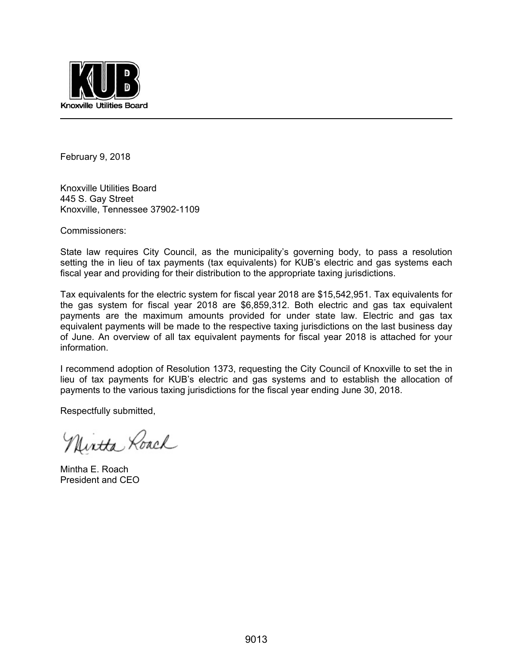

February 9, 2018

Knoxville Utilities Board 445 S. Gay Street Knoxville, Tennessee 37902-1109

Commissioners:

State law requires City Council, as the municipality's governing body, to pass a resolution setting the in lieu of tax payments (tax equivalents) for KUB's electric and gas systems each fiscal year and providing for their distribution to the appropriate taxing jurisdictions.

Tax equivalents for the electric system for fiscal year 2018 are \$15,542,951. Tax equivalents for the gas system for fiscal year 2018 are \$6,859,312. Both electric and gas tax equivalent payments are the maximum amounts provided for under state law. Electric and gas tax equivalent payments will be made to the respective taxing jurisdictions on the last business day of June. An overview of all tax equivalent payments for fiscal year 2018 is attached for your information.

I recommend adoption of Resolution 1373, requesting the City Council of Knoxville to set the in lieu of tax payments for KUB's electric and gas systems and to establish the allocation of payments to the various taxing jurisdictions for the fiscal year ending June 30, 2018.

Respectfully submitted,

Nintha Roach

Mintha E. Roach President and CEO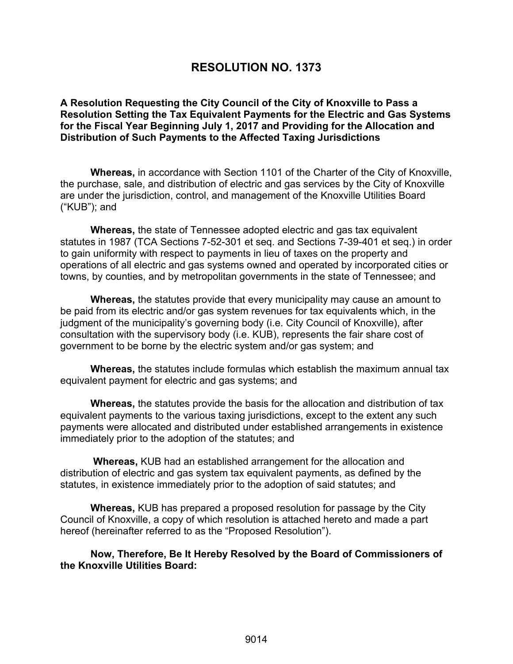# **RESOLUTION NO. 1373**

**A Resolution Requesting the City Council of the City of Knoxville to Pass a Resolution Setting the Tax Equivalent Payments for the Electric and Gas Systems for the Fiscal Year Beginning July 1, 2017 and Providing for the Allocation and Distribution of Such Payments to the Affected Taxing Jurisdictions** 

**Whereas,** in accordance with Section 1101 of the Charter of the City of Knoxville, the purchase, sale, and distribution of electric and gas services by the City of Knoxville are under the jurisdiction, control, and management of the Knoxville Utilities Board ("KUB"); and

**Whereas,** the state of Tennessee adopted electric and gas tax equivalent statutes in 1987 (TCA Sections 7-52-301 et seq. and Sections 7-39-401 et seq.) in order to gain uniformity with respect to payments in lieu of taxes on the property and operations of all electric and gas systems owned and operated by incorporated cities or towns, by counties, and by metropolitan governments in the state of Tennessee; and

**Whereas,** the statutes provide that every municipality may cause an amount to be paid from its electric and/or gas system revenues for tax equivalents which, in the judgment of the municipality's governing body (i.e. City Council of Knoxville), after consultation with the supervisory body (i.e. KUB), represents the fair share cost of government to be borne by the electric system and/or gas system; and

**Whereas,** the statutes include formulas which establish the maximum annual tax equivalent payment for electric and gas systems; and

**Whereas,** the statutes provide the basis for the allocation and distribution of tax equivalent payments to the various taxing jurisdictions, except to the extent any such payments were allocated and distributed under established arrangements in existence immediately prior to the adoption of the statutes; and

 **Whereas,** KUB had an established arrangement for the allocation and distribution of electric and gas system tax equivalent payments, as defined by the statutes, in existence immediately prior to the adoption of said statutes; and

**Whereas,** KUB has prepared a proposed resolution for passage by the City Council of Knoxville, a copy of which resolution is attached hereto and made a part hereof (hereinafter referred to as the "Proposed Resolution").

**Now, Therefore, Be It Hereby Resolved by the Board of Commissioners of the Knoxville Utilities Board:**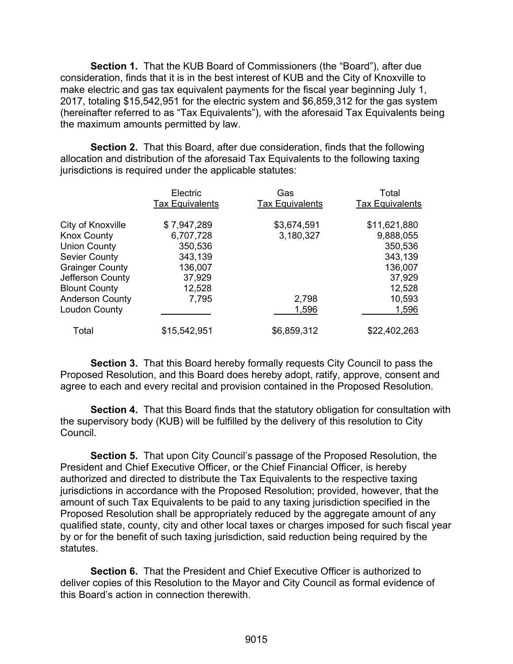**Section 1.** That the KUB Board of Commissioners (the "Board"), after due consideration, finds that it is in the best interest of KUB and the City of Knoxville to make electric and gas tax equivalent payments for the fiscal year beginning July 1, 2017, totaling \$15,542,951 for the electric system and \$6,859,312 for the gas system (hereinafter referred to as "Tax Equivalents"), with the aforesaid Tax Equivalents being the maximum amounts permitted by law.

**Section 2.** That this Board, after due consideration, finds that the following allocation and distribution of the aforesaid Tax Equivalents to the following taxing jurisdictions is required under the applicable statutes:

|                        | Electric<br><b>Tax Equivalents</b> | Gas<br><b>Tax Equivalents</b> | Total<br><b>Tax Equivalents</b> |
|------------------------|------------------------------------|-------------------------------|---------------------------------|
| City of Knoxville      | \$7,947,289                        | \$3,674,591                   | \$11,621,880                    |
| <b>Knox County</b>     | 6,707,728                          | 3,180,327                     | 9,888,055                       |
| <b>Union County</b>    | 350,536                            |                               | 350,536                         |
| <b>Sevier County</b>   | 343,139                            |                               | 343,139                         |
| <b>Grainger County</b> | 136,007                            |                               | 136,007                         |
| Jefferson County       | 37,929                             |                               | 37,929                          |
| <b>Blount County</b>   | 12,528                             |                               | 12,528                          |
| <b>Anderson County</b> | 7,795                              | 2,798                         | 10,593                          |
| Loudon County          |                                    | 1,596                         | 1,596                           |
| Total                  | \$15,542,951                       | \$6,859,312                   | \$22,402,263                    |

**Section 3.** That this Board hereby formally requests City Council to pass the Proposed Resolution, and this Board does hereby adopt, ratify, approve, consent and agree to each and every recital and provision contained in the Proposed Resolution.

**Section 4.** That this Board finds that the statutory obligation for consultation with the supervisory body (KUB) will be fulfilled by the delivery of this resolution to City Council.

 **Section 5.** That upon City Council's passage of the Proposed Resolution, the President and Chief Executive Officer, or the Chief Financial Officer, is hereby authorized and directed to distribute the Tax Equivalents to the respective taxing jurisdictions in accordance with the Proposed Resolution; provided, however, that the amount of such Tax Equivalents to be paid to any taxing jurisdiction specified in the Proposed Resolution shall be appropriately reduced by the aggregate amount of any qualified state, county, city and other local taxes or charges imposed for such fiscal year by or for the benefit of such taxing jurisdiction, said reduction being required by the statutes.

 **Section 6.** That the President and Chief Executive Officer is authorized to deliver copies of this Resolution to the Mayor and City Council as formal evidence of this Board's action in connection therewith.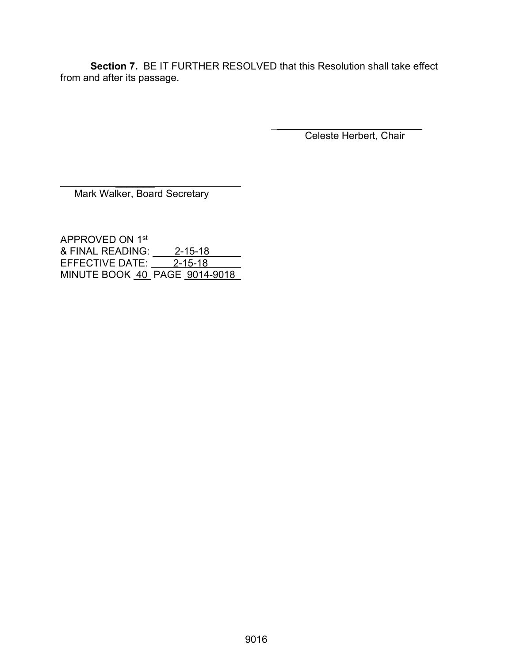**Section 7.** BE IT FURTHER RESOLVED that this Resolution shall take effect from and after its passage.

> $\frac{1}{2}$  , and the set of the set of the set of the set of the set of the set of the set of the set of the set of the set of the set of the set of the set of the set of the set of the set of the set of the set of the set Celeste Herbert, Chair

 $\mathcal{L}=\mathcal{L}^{\mathcal{L}}$  , where  $\mathcal{L}^{\mathcal{L}}$  , we have the set of the set of the set of the set of the set of the set of the set of the set of the set of the set of the set of the set of the set of the set of the set of Mark Walker, Board Secretary

APPROVED ON 1st & FINAL READING: 2-15-18 EFFECTIVE DATE: 2-15-18 MINUTE BOOK 40 PAGE 9014-9018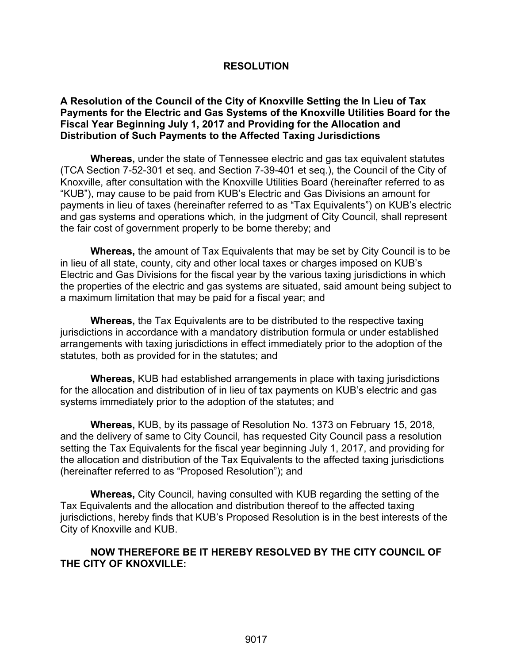#### **RESOLUTION**

#### **A Resolution of the Council of the City of Knoxville Setting the In Lieu of Tax Payments for the Electric and Gas Systems of the Knoxville Utilities Board for the Fiscal Year Beginning July 1, 2017 and Providing for the Allocation and Distribution of Such Payments to the Affected Taxing Jurisdictions**

**Whereas,** under the state of Tennessee electric and gas tax equivalent statutes (TCA Section 7-52-301 et seq. and Section 7-39-401 et seq.), the Council of the City of Knoxville, after consultation with the Knoxville Utilities Board (hereinafter referred to as "KUB"), may cause to be paid from KUB's Electric and Gas Divisions an amount for payments in lieu of taxes (hereinafter referred to as "Tax Equivalents") on KUB's electric and gas systems and operations which, in the judgment of City Council, shall represent the fair cost of government properly to be borne thereby; and

**Whereas,** the amount of Tax Equivalents that may be set by City Council is to be in lieu of all state, county, city and other local taxes or charges imposed on KUB's Electric and Gas Divisions for the fiscal year by the various taxing jurisdictions in which the properties of the electric and gas systems are situated, said amount being subject to a maximum limitation that may be paid for a fiscal year; and

**Whereas,** the Tax Equivalents are to be distributed to the respective taxing jurisdictions in accordance with a mandatory distribution formula or under established arrangements with taxing jurisdictions in effect immediately prior to the adoption of the statutes, both as provided for in the statutes; and

**Whereas,** KUB had established arrangements in place with taxing jurisdictions for the allocation and distribution of in lieu of tax payments on KUB's electric and gas systems immediately prior to the adoption of the statutes; and

**Whereas,** KUB, by its passage of Resolution No. 1373 on February 15, 2018, and the delivery of same to City Council, has requested City Council pass a resolution setting the Tax Equivalents for the fiscal year beginning July 1, 2017, and providing for the allocation and distribution of the Tax Equivalents to the affected taxing jurisdictions (hereinafter referred to as "Proposed Resolution"); and

**Whereas,** City Council, having consulted with KUB regarding the setting of the Tax Equivalents and the allocation and distribution thereof to the affected taxing jurisdictions, hereby finds that KUB's Proposed Resolution is in the best interests of the City of Knoxville and KUB.

#### **NOW THEREFORE BE IT HEREBY RESOLVED BY THE CITY COUNCIL OF THE CITY OF KNOXVILLE:**